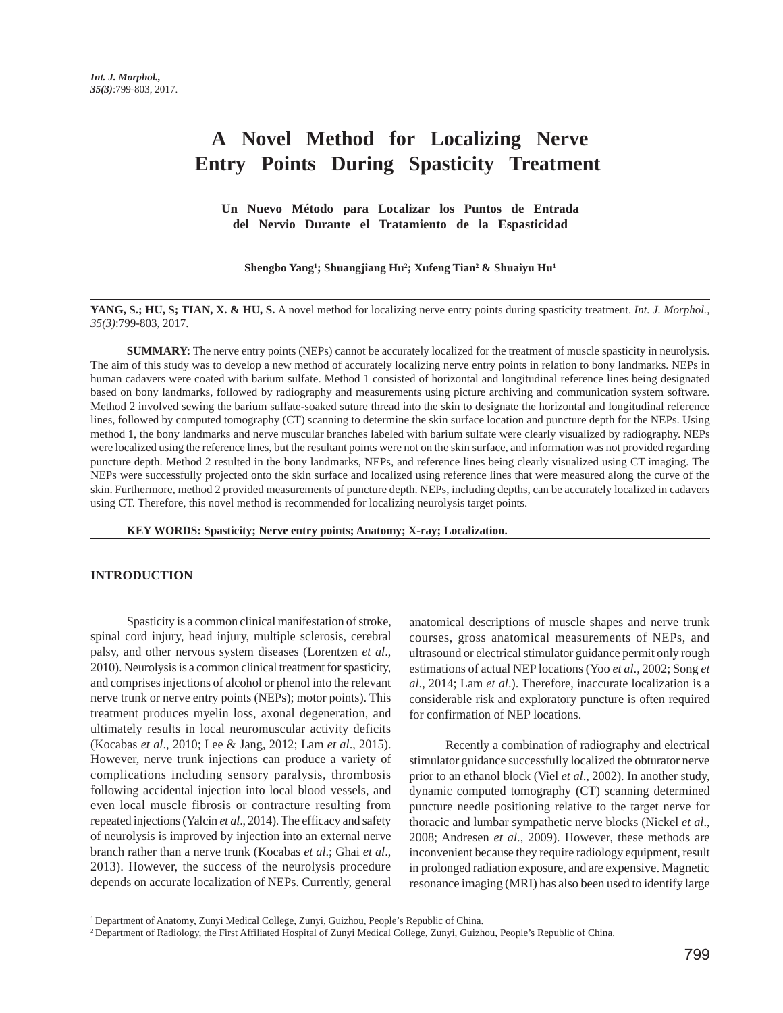# **A Novel Method for Localizing Nerve Entry Points During Spasticity Treatment**

**Un Nuevo Método para Localizar los Puntos de Entrada del Nervio Durante el Tratamiento de la Espasticidad**

**Shengbo Yang1 ; Shuangjiang Hu2 ; Xufeng Tian2 & Shuaiyu Hu1**

**YANG, S.; HU, S; TIAN, X. & HU, S.** A novel method for localizing nerve entry points during spasticity treatment. *Int. J. Morphol., 35(3)*:799-803, 2017.

**SUMMARY:** The nerve entry points (NEPs) cannot be accurately localized for the treatment of muscle spasticity in neurolysis. The aim of this study was to develop a new method of accurately localizing nerve entry points in relation to bony landmarks. NEPs in human cadavers were coated with barium sulfate. Method 1 consisted of horizontal and longitudinal reference lines being designated based on bony landmarks, followed by radiography and measurements using picture archiving and communication system software. Method 2 involved sewing the barium sulfate-soaked suture thread into the skin to designate the horizontal and longitudinal reference lines, followed by computed tomography (CT) scanning to determine the skin surface location and puncture depth for the NEPs. Using method 1, the bony landmarks and nerve muscular branches labeled with barium sulfate were clearly visualized by radiography. NEPs were localized using the reference lines, but the resultant points were not on the skin surface, and information was not provided regarding puncture depth. Method 2 resulted in the bony landmarks, NEPs, and reference lines being clearly visualized using CT imaging. The NEPs were successfully projected onto the skin surface and localized using reference lines that were measured along the curve of the skin. Furthermore, method 2 provided measurements of puncture depth. NEPs, including depths, can be accurately localized in cadavers using CT. Therefore, this novel method is recommended for localizing neurolysis target points.

**KEY WORDS: Spasticity; Nerve entry points; Anatomy; X-ray; Localization.**

## **INTRODUCTION**

Spasticity is a common clinical manifestation of stroke, spinal cord injury, head injury, multiple sclerosis, cerebral palsy, and other nervous system diseases (Lorentzen *et al*., 2010). Neurolysis is a common clinical treatment for spasticity, and comprises injections of alcohol or phenol into the relevant nerve trunk or nerve entry points (NEPs); motor points). This treatment produces myelin loss, axonal degeneration, and ultimately results in local neuromuscular activity deficits (Kocabas *et al*., 2010; Lee & Jang, 2012; Lam *et al*., 2015). However, nerve trunk injections can produce a variety of complications including sensory paralysis, thrombosis following accidental injection into local blood vessels, and even local muscle fibrosis or contracture resulting from repeated injections (Yalcin *et al*., 2014). The efficacy and safety of neurolysis is improved by injection into an external nerve branch rather than a nerve trunk (Kocabas *et al*.; Ghai *et al*., 2013). However, the success of the neurolysis procedure depends on accurate localization of NEPs. Currently, general

anatomical descriptions of muscle shapes and nerve trunk courses, gross anatomical measurements of NEPs, and ultrasound or electrical stimulator guidance permit only rough estimations of actual NEP locations (Yoo *et al*., 2002; Song *et al*., 2014; Lam *et al*.). Therefore, inaccurate localization is a considerable risk and exploratory puncture is often required for confirmation of NEP locations.

Recently a combination of radiography and electrical stimulator guidance successfully localized the obturator nerve prior to an ethanol block (Viel *et al*., 2002). In another study, dynamic computed tomography (CT) scanning determined puncture needle positioning relative to the target nerve for thoracic and lumbar sympathetic nerve blocks (Nickel *et al*., 2008; Andresen *et al*., 2009). However, these methods are inconvenient because they require radiology equipment, result in prolonged radiation exposure, and are expensive. Magnetic resonance imaging (MRI) has also been used to identify large

<sup>&</sup>lt;sup>1</sup> Department of Anatomy, Zunyi Medical College, Zunyi, Guizhou, People's Republic of China.

<sup>2</sup> Department of Radiology, the First Affiliated Hospital of Zunyi Medical College, Zunyi, Guizhou, People's Republic of China.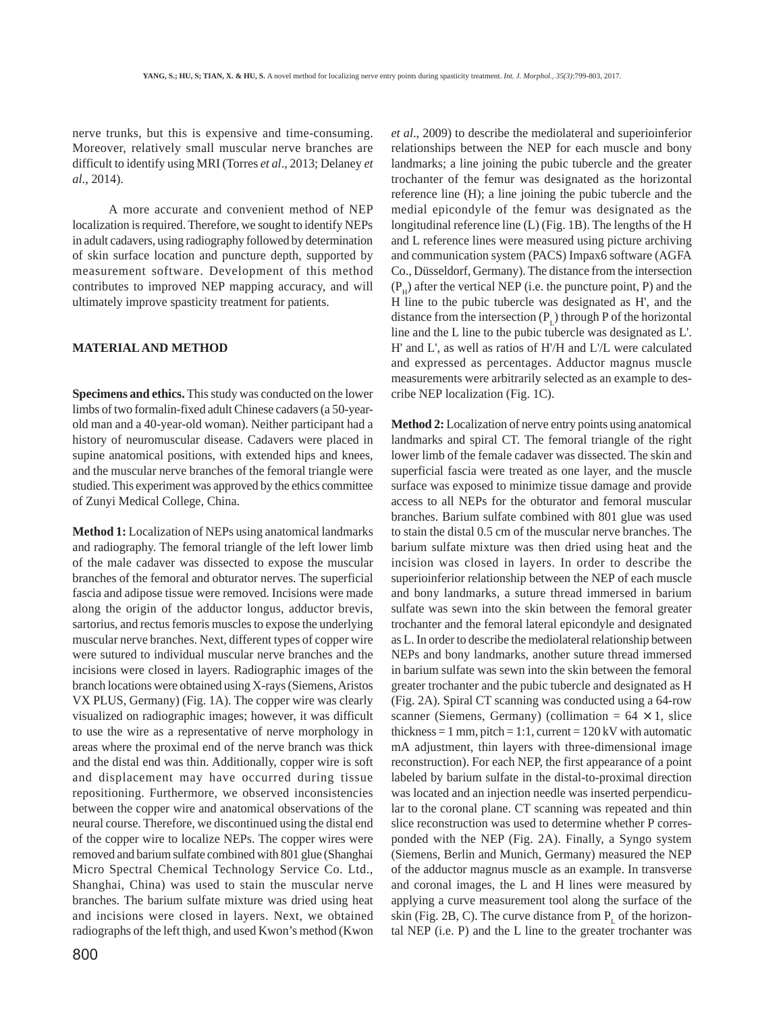nerve trunks, but this is expensive and time-consuming. Moreover, relatively small muscular nerve branches are difficult to identify using MRI (Torres *et al*., 2013; Delaney *et al*., 2014).

A more accurate and convenient method of NEP localization is required. Therefore, we sought to identify NEPs in adult cadavers, using radiography followed by determination of skin surface location and puncture depth, supported by measurement software. Development of this method contributes to improved NEP mapping accuracy, and will ultimately improve spasticity treatment for patients.

## **MATERIAL AND METHOD**

**Specimens and ethics.** This study was conducted on the lower limbs of two formalin-fixed adult Chinese cadavers (a 50-yearold man and a 40-year-old woman). Neither participant had a history of neuromuscular disease. Cadavers were placed in supine anatomical positions, with extended hips and knees, and the muscular nerve branches of the femoral triangle were studied. This experiment was approved by the ethics committee of Zunyi Medical College, China.

**Method 1:** Localization of NEPs using anatomical landmarks and radiography. The femoral triangle of the left lower limb of the male cadaver was dissected to expose the muscular branches of the femoral and obturator nerves. The superficial fascia and adipose tissue were removed. Incisions were made along the origin of the adductor longus, adductor brevis, sartorius, and rectus femoris muscles to expose the underlying muscular nerve branches. Next, different types of copper wire were sutured to individual muscular nerve branches and the incisions were closed in layers. Radiographic images of the branch locations were obtained using X-rays (Siemens, Aristos VX PLUS, Germany) (Fig. 1A). The copper wire was clearly visualized on radiographic images; however, it was difficult to use the wire as a representative of nerve morphology in areas where the proximal end of the nerve branch was thick and the distal end was thin. Additionally, copper wire is soft and displacement may have occurred during tissue repositioning. Furthermore, we observed inconsistencies between the copper wire and anatomical observations of the neural course. Therefore, we discontinued using the distal end of the copper wire to localize NEPs. The copper wires were removed and barium sulfate combined with 801 glue (Shanghai Micro Spectral Chemical Technology Service Co. Ltd., Shanghai, China) was used to stain the muscular nerve branches. The barium sulfate mixture was dried using heat and incisions were closed in layers. Next, we obtained radiographs of the left thigh, and used Kwon's method (Kwon

*et al*., 2009) to describe the mediolateral and superioinferior relationships between the NEP for each muscle and bony landmarks; a line joining the pubic tubercle and the greater trochanter of the femur was designated as the horizontal reference line (H); a line joining the pubic tubercle and the medial epicondyle of the femur was designated as the longitudinal reference line (L) (Fig. 1B). The lengths of the H and L reference lines were measured using picture archiving and communication system (PACS) Impax6 software (AGFA Co., Düsseldorf, Germany). The distance from the intersection  $(P<sub>u</sub>)$  after the vertical NEP (i.e. the puncture point, P) and the H line to the pubic tubercle was designated as H', and the distance from the intersection  $(P_1)$  through P of the horizontal line and the L line to the pubic tubercle was designated as L'. H' and L', as well as ratios of H'/H and L'/L were calculated and expressed as percentages. Adductor magnus muscle measurements were arbitrarily selected as an example to describe NEP localization (Fig. 1C).

**Method 2:** Localization of nerve entry points using anatomical landmarks and spiral CT. The femoral triangle of the right lower limb of the female cadaver was dissected. The skin and superficial fascia were treated as one layer, and the muscle surface was exposed to minimize tissue damage and provide access to all NEPs for the obturator and femoral muscular branches. Barium sulfate combined with 801 glue was used to stain the distal 0.5 cm of the muscular nerve branches. The barium sulfate mixture was then dried using heat and the incision was closed in layers. In order to describe the superioinferior relationship between the NEP of each muscle and bony landmarks, a suture thread immersed in barium sulfate was sewn into the skin between the femoral greater trochanter and the femoral lateral epicondyle and designated as L. In order to describe the mediolateral relationship between NEPs and bony landmarks, another suture thread immersed in barium sulfate was sewn into the skin between the femoral greater trochanter and the pubic tubercle and designated as H (Fig. 2A). Spiral CT scanning was conducted using a 64-row scanner (Siemens, Germany) (collimation =  $64 \times 1$ , slice thickness = 1 mm, pitch = 1:1, current =  $120 \text{ kV}$  with automatic mA adjustment, thin layers with three-dimensional image reconstruction). For each NEP, the first appearance of a point labeled by barium sulfate in the distal-to-proximal direction was located and an injection needle was inserted perpendicular to the coronal plane. CT scanning was repeated and thin slice reconstruction was used to determine whether P corresponded with the NEP (Fig. 2A). Finally, a Syngo system (Siemens, Berlin and Munich, Germany) measured the NEP of the adductor magnus muscle as an example. In transverse and coronal images, the L and H lines were measured by applying a curve measurement tool along the surface of the skin (Fig. 2B, C). The curve distance from  $P<sub>r</sub>$  of the horizontal NEP (i.e. P) and the L line to the greater trochanter was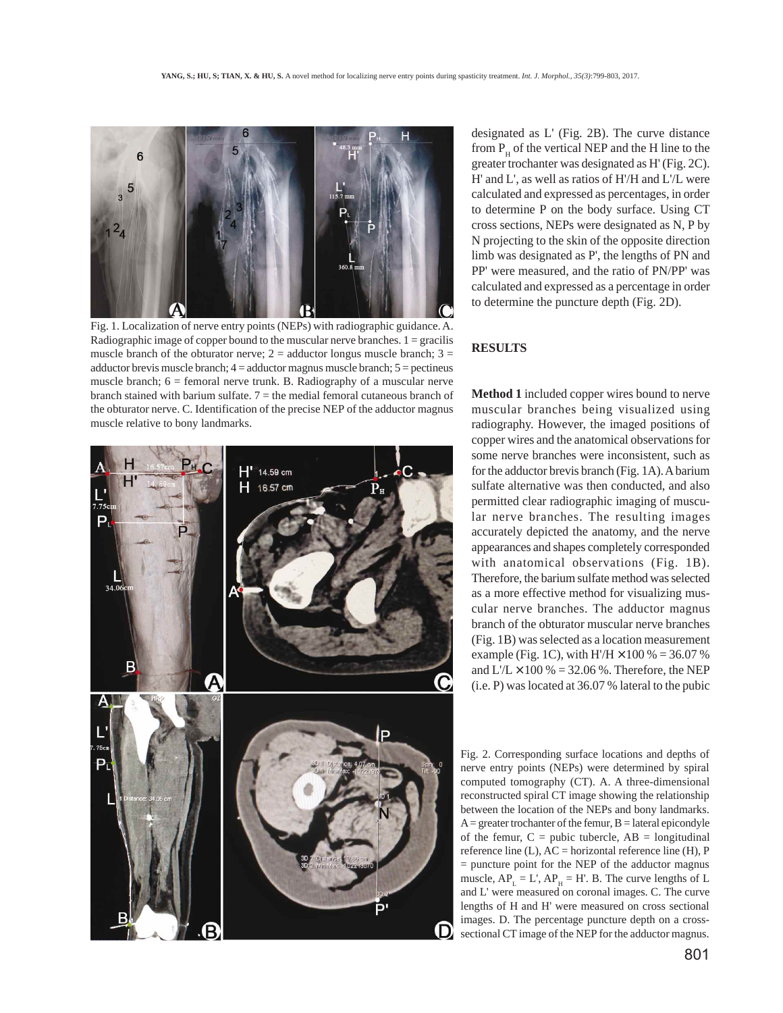

Fig. 1. Localization of nerve entry points (NEPs) with radiographic guidance. A. Radiographic image of copper bound to the muscular nerve branches.  $1 = \text{gracilis}$ muscle branch of the obturator nerve;  $2 =$  adductor longus muscle branch;  $3 =$ adductor brevis muscle branch;  $4 =$  adductor magnus muscle branch;  $5 =$  pectineus muscle branch;  $6 =$  femoral nerve trunk. B. Radiography of a muscular nerve branch stained with barium sulfate.  $7 =$  the medial femoral cutaneous branch of the obturator nerve. C. Identification of the precise NEP of the adductor magnus muscle relative to bony landmarks.



designated as L' (Fig. 2B). The curve distance from  $P_{\mu}$  of the vertical NEP and the H line to the greater trochanter was designated as H' (Fig. 2C). H' and L', as well as ratios of H'/H and L'/L were calculated and expressed as percentages, in order to determine P on the body surface. Using CT cross sections, NEPs were designated as N, P by N projecting to the skin of the opposite direction limb was designated as P', the lengths of PN and PP' were measured, and the ratio of PN/PP' was calculated and expressed as a percentage in order to determine the puncture depth (Fig. 2D).

## **RESULTS**

**Method 1** included copper wires bound to nerve muscular branches being visualized using radiography. However, the imaged positions of copper wires and the anatomical observations for some nerve branches were inconsistent, such as for the adductor brevis branch (Fig. 1A). A barium sulfate alternative was then conducted, and also permitted clear radiographic imaging of muscular nerve branches. The resulting images accurately depicted the anatomy, and the nerve appearances and shapes completely corresponded with anatomical observations (Fig. 1B). Therefore, the barium sulfate method was selected as a more effective method for visualizing muscular nerve branches. The adductor magnus branch of the obturator muscular nerve branches (Fig. 1B) was selected as a location measurement example (Fig. 1C), with  $H/H \times 100 \% = 36.07 \%$ and  $L/L \times 100\% = 32.06\%$ . Therefore, the NEP (i.e. P) was located at 36.07 % lateral to the pubic

Fig. 2. Corresponding surface locations and depths of nerve entry points (NEPs) were determined by spiral computed tomography (CT). A. A three-dimensional reconstructed spiral CT image showing the relationship between the location of the NEPs and bony landmarks.  $A =$  greater trochanter of the femur,  $B =$  lateral epicondyle of the femur,  $C =$  pubic tubercle,  $AB =$  longitudinal reference line  $(L)$ ,  $AC =$  horizontal reference line  $(H)$ , P  $=$  puncture point for the NEP of the adductor magnus muscle,  $AP_L = L'$ ,  $AP_H = H'$ . B. The curve lengths of L and L' were measured on coronal images. C. The curve lengths of H and H' were measured on cross sectional images. D. The percentage puncture depth on a crosssectional CT image of the NEP for the adductor magnus.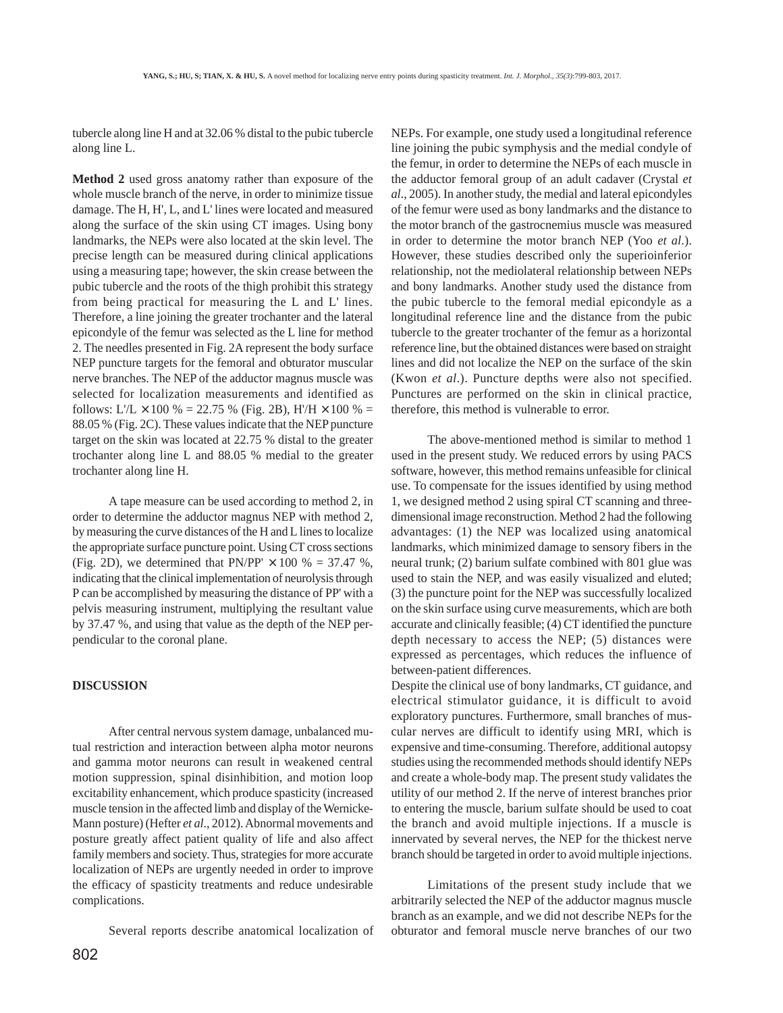tubercle along line H and at 32.06 % distal to the pubic tubercle along line L.

**Method 2** used gross anatomy rather than exposure of the whole muscle branch of the nerve, in order to minimize tissue damage. The H, H', L, and L' lines were located and measured along the surface of the skin using CT images. Using bony landmarks, the NEPs were also located at the skin level. The precise length can be measured during clinical applications using a measuring tape; however, the skin crease between the pubic tubercle and the roots of the thigh prohibit this strategy from being practical for measuring the L and L' lines. Therefore, a line joining the greater trochanter and the lateral epicondyle of the femur was selected as the L line for method 2. The needles presented in Fig. 2A represent the body surface NEP puncture targets for the femoral and obturator muscular nerve branches. The NEP of the adductor magnus muscle was selected for localization measurements and identified as follows: L'/L  $\times$  100 % = 22.75 % (Fig. 2B), H'/H  $\times$  100 % = 88.05 % (Fig. 2C). These values indicate that the NEP puncture target on the skin was located at 22.75 % distal to the greater trochanter along line L and 88.05 % medial to the greater trochanter along line H.

A tape measure can be used according to method 2, in order to determine the adductor magnus NEP with method 2, by measuring the curve distances of the H and L lines to localize the appropriate surface puncture point. Using CT cross sections (Fig. 2D), we determined that  $PN/PP' \times 100 \% = 37.47 \%$ , indicating that the clinical implementation of neurolysis through P can be accomplished by measuring the distance of PP' with a pelvis measuring instrument, multiplying the resultant value by 37.47 %, and using that value as the depth of the NEP perpendicular to the coronal plane.

### **DISCUSSION**

After central nervous system damage, unbalanced mutual restriction and interaction between alpha motor neurons and gamma motor neurons can result in weakened central motion suppression, spinal disinhibition, and motion loop excitability enhancement, which produce spasticity (increased muscle tension in the affected limb and display of the Wernicke-Mann posture) (Hefter *et al*., 2012). Abnormal movements and posture greatly affect patient quality of life and also affect family members and society. Thus, strategies for more accurate localization of NEPs are urgently needed in order to improve the efficacy of spasticity treatments and reduce undesirable complications.

Several reports describe anatomical localization of

NEPs. For example, one study used a longitudinal reference line joining the pubic symphysis and the medial condyle of the femur, in order to determine the NEPs of each muscle in the adductor femoral group of an adult cadaver (Crystal *et al*., 2005). In another study, the medial and lateral epicondyles of the femur were used as bony landmarks and the distance to the motor branch of the gastrocnemius muscle was measured in order to determine the motor branch NEP (Yoo *et al*.). However, these studies described only the superioinferior relationship, not the mediolateral relationship between NEPs and bony landmarks. Another study used the distance from the pubic tubercle to the femoral medial epicondyle as a longitudinal reference line and the distance from the pubic tubercle to the greater trochanter of the femur as a horizontal reference line, but the obtained distances were based on straight lines and did not localize the NEP on the surface of the skin (Kwon *et al*.). Puncture depths were also not specified. Punctures are performed on the skin in clinical practice, therefore, this method is vulnerable to error.

The above-mentioned method is similar to method 1 used in the present study. We reduced errors by using PACS software, however, this method remains unfeasible for clinical use. To compensate for the issues identified by using method 1, we designed method 2 using spiral CT scanning and threedimensional image reconstruction. Method 2 had the following advantages: (1) the NEP was localized using anatomical landmarks, which minimized damage to sensory fibers in the neural trunk; (2) barium sulfate combined with 801 glue was used to stain the NEP, and was easily visualized and eluted; (3) the puncture point for the NEP was successfully localized on the skin surface using curve measurements, which are both accurate and clinically feasible; (4) CT identified the puncture depth necessary to access the NEP; (5) distances were expressed as percentages, which reduces the influence of between-patient differences.

Despite the clinical use of bony landmarks, CT guidance, and electrical stimulator guidance, it is difficult to avoid exploratory punctures. Furthermore, small branches of muscular nerves are difficult to identify using MRI, which is expensive and time-consuming. Therefore, additional autopsy studies using the recommended methods should identify NEPs and create a whole-body map. The present study validates the utility of our method 2. If the nerve of interest branches prior to entering the muscle, barium sulfate should be used to coat the branch and avoid multiple injections. If a muscle is innervated by several nerves, the NEP for the thickest nerve branch should be targeted in order to avoid multiple injections.

Limitations of the present study include that we arbitrarily selected the NEP of the adductor magnus muscle branch as an example, and we did not describe NEPs for the obturator and femoral muscle nerve branches of our two